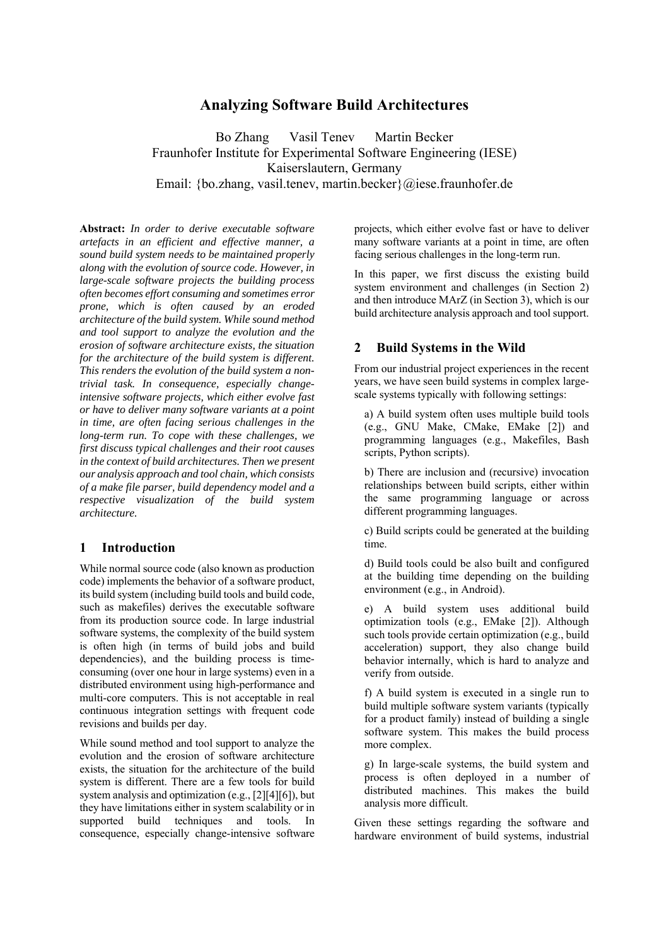# **Analyzing Software Build Architectures**

Bo Zhang Vasil Tenev Martin Becker Fraunhofer Institute for Experimental Software Engineering (IESE) Kaiserslautern, Germany Email: {bo.zhang, vasil.tenev, martin.becker}@iese.fraunhofer.de

**Abstract:** *In order to derive executable software artefacts in an efficient and effective manner, a sound build system needs to be maintained properly along with the evolution of source code. However, in large-scale software projects the building process often becomes effort consuming and sometimes error prone, which is often caused by an eroded architecture of the build system. While sound method and tool support to analyze the evolution and the erosion of software architecture exists, the situation for the architecture of the build system is different. This renders the evolution of the build system a nontrivial task. In consequence, especially changeintensive software projects, which either evolve fast or have to deliver many software variants at a point in time, are often facing serious challenges in the long-term run. To cope with these challenges, we first discuss typical challenges and their root causes in the context of build architectures. Then we present our analysis approach and tool chain, which consists of a make file parser, build dependency model and a respective visualization of the build system architecture.* 

## **1 Introduction**

While normal source code (also known as production code) implements the behavior of a software product, its build system (including build tools and build code, such as makefiles) derives the executable software from its production source code. In large industrial software systems, the complexity of the build system is often high (in terms of build jobs and build dependencies), and the building process is timeconsuming (over one hour in large systems) even in a distributed environment using high-performance and multi-core computers. This is not acceptable in real continuous integration settings with frequent code revisions and builds per day.

While sound method and tool support to analyze the evolution and the erosion of software architecture exists, the situation for the architecture of the build system is different. There are a few tools for build system analysis and optimization (e.g., [2][4][6]), but they have limitations either in system scalability or in supported build techniques and tools. In consequence, especially change-intensive software

projects, which either evolve fast or have to deliver many software variants at a point in time, are often facing serious challenges in the long-term run.

In this paper, we first discuss the existing build system environment and challenges (in Section 2) and then introduce MArZ (in Section 3), which is our build architecture analysis approach and tool support.

## **2 Build Systems in the Wild**

From our industrial project experiences in the recent years, we have seen build systems in complex largescale systems typically with following settings:

a) A build system often uses multiple build tools (e.g., GNU Make, CMake, EMake [2]) and programming languages (e.g., Makefiles, Bash scripts, Python scripts).

b) There are inclusion and (recursive) invocation relationships between build scripts, either within the same programming language or across different programming languages.

c) Build scripts could be generated at the building time.

d) Build tools could be also built and configured at the building time depending on the building environment (e.g., in Android).

e) A build system uses additional build optimization tools (e.g., EMake [2]). Although such tools provide certain optimization (e.g., build acceleration) support, they also change build behavior internally, which is hard to analyze and verify from outside.

f) A build system is executed in a single run to build multiple software system variants (typically for a product family) instead of building a single software system. This makes the build process more complex.

g) In large-scale systems, the build system and process is often deployed in a number of distributed machines. This makes the build analysis more difficult.

Given these settings regarding the software and hardware environment of build systems, industrial